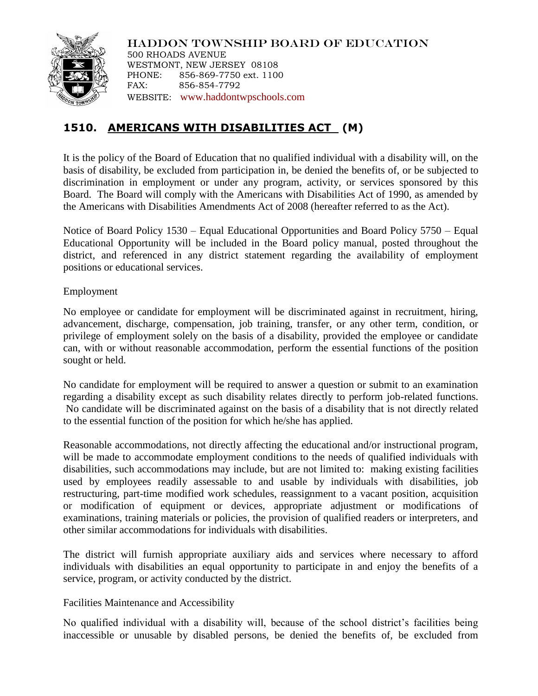

HADDON TOWNSHIP BOARD OF EDUCATION 500 RHOADS AVENUE WESTMONT, NEW JERSEY 08108 PHONE: 856-869-7750 ext. 1100 FAX: 856-854-7792 WEBSITE: [www.haddontwpschools.com](http://www.haddontwpschools.com/)

# **1510. AMERICANS WITH DISABILITIES ACT (M)**

It is the policy of the Board of Education that no qualified individual with a disability will, on the basis of disability, be excluded from participation in, be denied the benefits of, or be subjected to discrimination in employment or under any program, activity, or services sponsored by this Board. The Board will comply with the Americans with Disabilities Act of 1990, as amended by the Americans with Disabilities Amendments Act of 2008 (hereafter referred to as the Act).

Notice of Board Policy 1530 – Equal Educational Opportunities and Board Policy 5750 – Equal Educational Opportunity will be included in the Board policy manual, posted throughout the district, and referenced in any district statement regarding the availability of employment positions or educational services.

## Employment

No employee or candidate for employment will be discriminated against in recruitment, hiring, advancement, discharge, compensation, job training, transfer, or any other term, condition, or privilege of employment solely on the basis of a disability, provided the employee or candidate can, with or without reasonable accommodation, perform the essential functions of the position sought or held.

No candidate for employment will be required to answer a question or submit to an examination regarding a disability except as such disability relates directly to perform job-related functions. No candidate will be discriminated against on the basis of a disability that is not directly related to the essential function of the position for which he/she has applied.

Reasonable accommodations, not directly affecting the educational and/or instructional program, will be made to accommodate employment conditions to the needs of qualified individuals with disabilities, such accommodations may include, but are not limited to: making existing facilities used by employees readily assessable to and usable by individuals with disabilities, job restructuring, part-time modified work schedules, reassignment to a vacant position, acquisition or modification of equipment or devices, appropriate adjustment or modifications of examinations, training materials or policies, the provision of qualified readers or interpreters, and other similar accommodations for individuals with disabilities.

The district will furnish appropriate auxiliary aids and services where necessary to afford individuals with disabilities an equal opportunity to participate in and enjoy the benefits of a service, program, or activity conducted by the district.

# Facilities Maintenance and Accessibility

No qualified individual with a disability will, because of the school district's facilities being inaccessible or unusable by disabled persons, be denied the benefits of, be excluded from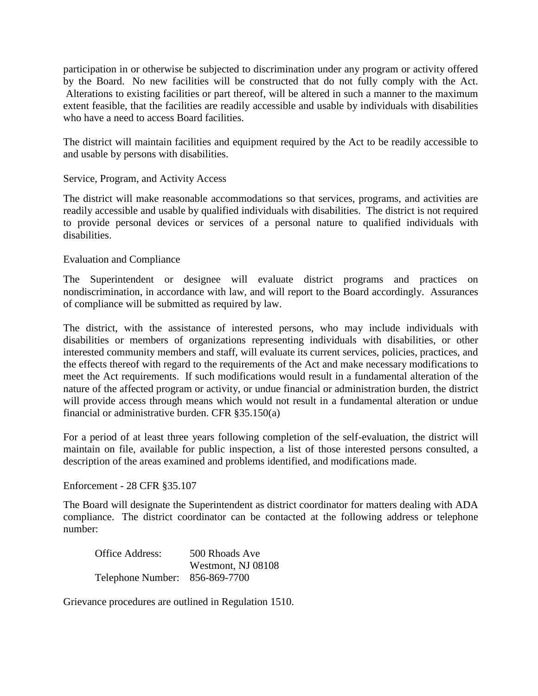participation in or otherwise be subjected to discrimination under any program or activity offered by the Board. No new facilities will be constructed that do not fully comply with the Act. Alterations to existing facilities or part thereof, will be altered in such a manner to the maximum extent feasible, that the facilities are readily accessible and usable by individuals with disabilities who have a need to access Board facilities.

The district will maintain facilities and equipment required by the Act to be readily accessible to and usable by persons with disabilities.

## Service, Program, and Activity Access

The district will make reasonable accommodations so that services, programs, and activities are readily accessible and usable by qualified individuals with disabilities. The district is not required to provide personal devices or services of a personal nature to qualified individuals with disabilities.

#### Evaluation and Compliance

The Superintendent or designee will evaluate district programs and practices on nondiscrimination, in accordance with law, and will report to the Board accordingly. Assurances of compliance will be submitted as required by law.

The district, with the assistance of interested persons, who may include individuals with disabilities or members of organizations representing individuals with disabilities, or other interested community members and staff, will evaluate its current services, policies, practices, and the effects thereof with regard to the requirements of the Act and make necessary modifications to meet the Act requirements. If such modifications would result in a fundamental alteration of the nature of the affected program or activity, or undue financial or administration burden, the district will provide access through means which would not result in a fundamental alteration or undue financial or administrative burden. CFR §35.150(a)

For a period of at least three years following completion of the self-evaluation, the district will maintain on file, available for public inspection, a list of those interested persons consulted, a description of the areas examined and problems identified, and modifications made.

Enforcement - 28 CFR §35.107

The Board will designate the Superintendent as district coordinator for matters dealing with ADA compliance. The district coordinator can be contacted at the following address or telephone number:

| Office Address:                | 500 Rhoads Ave     |
|--------------------------------|--------------------|
|                                | Westmont, NJ 08108 |
| Telephone Number: 856-869-7700 |                    |

Grievance procedures are outlined in Regulation 1510.